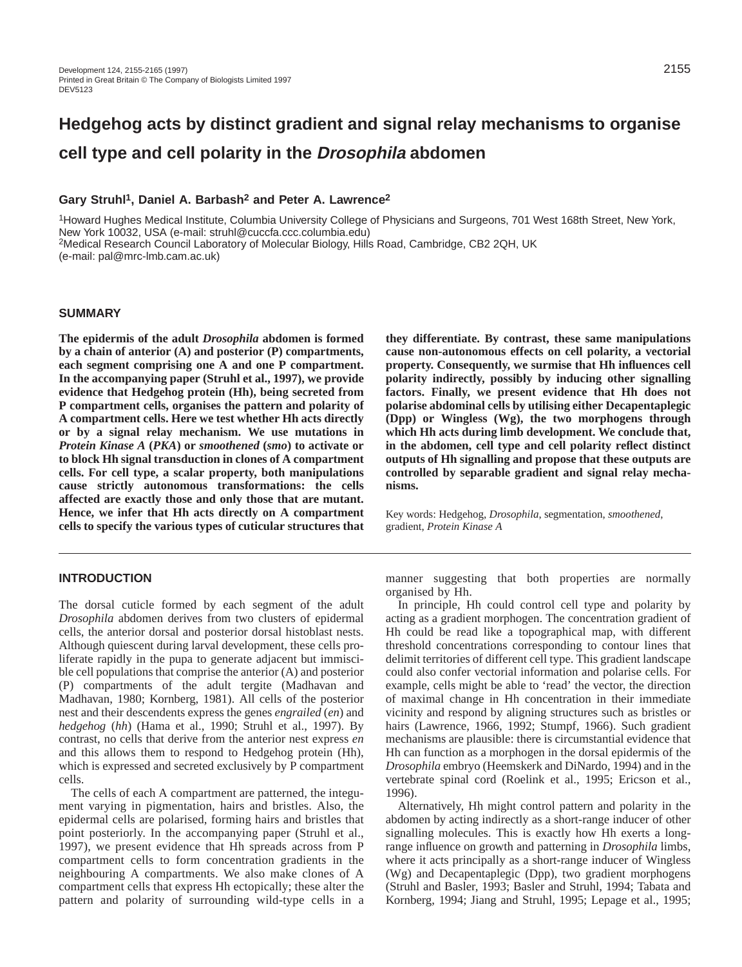# **Hedgehog acts by distinct gradient and signal relay mechanisms to organise cell type and cell polarity in the Drosophila abdomen**

## **Gary Struhl1, Daniel A. Barbash2 and Peter A. Lawrence2**

1Howard Hughes Medical Institute, Columbia University College of Physicians and Surgeons, 701 West 168th Street, New York, New York 10032, USA (e-mail: struhl@cuccfa.ccc.columbia.edu) 2Medical Research Council Laboratory of Molecular Biology, Hills Road, Cambridge, CB2 2QH, UK (e-mail: pal@mrc-lmb.cam.ac.uk)

## **SUMMARY**

**The epidermis of the adult** *Drosophila* **abdomen is formed by a chain of anterior (A) and posterior (P) compartments, each segment comprising one A and one P compartment. In the accompanying paper (Struhl et al., 1997), we provide evidence that Hedgehog protein (Hh), being secreted from P compartment cells, organises the pattern and polarity of A compartment cells. Here we test whether Hh acts directly or by a signal relay mechanism. We use mutations in** *Protein Kinase A* **(***PKA***) or** *smoothened* **(***smo***) to activate or to block Hh signal transduction in clones of A compartment cells. For cell type, a scalar property, both manipulations cause strictly autonomous transformations: the cells affected are exactly those and only those that are mutant. Hence, we infer that Hh acts directly on A compartment cells to specify the various types of cuticular structures that**

## **INTRODUCTION**

The dorsal cuticle formed by each segment of the adult *Drosophila* abdomen derives from two clusters of epidermal cells, the anterior dorsal and posterior dorsal histoblast nests. Although quiescent during larval development, these cells proliferate rapidly in the pupa to generate adjacent but immiscible cell populations that comprise the anterior (A) and posterior (P) compartments of the adult tergite (Madhavan and Madhavan, 1980; Kornberg, 1981). All cells of the posterior nest and their descendents express the genes *engrailed* (*en*) and *hedgehog* (*hh*) (Hama et al., 1990; Struhl et al., 1997). By contrast, no cells that derive from the anterior nest express *en* and this allows them to respond to Hedgehog protein (Hh), which is expressed and secreted exclusively by P compartment cells.

The cells of each A compartment are patterned, the integument varying in pigmentation, hairs and bristles. Also, the epidermal cells are polarised, forming hairs and bristles that point posteriorly. In the accompanying paper (Struhl et al., 1997), we present evidence that Hh spreads across from P compartment cells to form concentration gradients in the neighbouring A compartments. We also make clones of A compartment cells that express Hh ectopically; these alter the pattern and polarity of surrounding wild-type cells in a

**they differentiate. By contrast, these same manipulations cause non-autonomous effects on cell polarity, a vectorial property. Consequently, we surmise that Hh influences cell polarity indirectly, possibly by inducing other signalling factors. Finally, we present evidence that Hh does not polarise abdominal cells by utilising either Decapentaplegic (Dpp) or Wingless (Wg), the two morphogens through which Hh acts during limb development. We conclude that, in the abdomen, cell type and cell polarity reflect distinct outputs of Hh signalling and propose that these outputs are controlled by separable gradient and signal relay mechanisms.**

Key words: Hedgehog, *Drosophila*, segmentation, *smoothened*, gradient, *Protein Kinase A*

manner suggesting that both properties are normally organised by Hh.

In principle, Hh could control cell type and polarity by acting as a gradient morphogen. The concentration gradient of Hh could be read like a topographical map, with different threshold concentrations corresponding to contour lines that delimit territories of different cell type. This gradient landscape could also confer vectorial information and polarise cells. For example, cells might be able to 'read' the vector, the direction of maximal change in Hh concentration in their immediate vicinity and respond by aligning structures such as bristles or hairs (Lawrence, 1966, 1992; Stumpf, 1966). Such gradient mechanisms are plausible: there is circumstantial evidence that Hh can function as a morphogen in the dorsal epidermis of the *Drosophila* embryo (Heemskerk and DiNardo, 1994) and in the vertebrate spinal cord (Roelink et al., 1995; Ericson et al., 1996).

Alternatively, Hh might control pattern and polarity in the abdomen by acting indirectly as a short-range inducer of other signalling molecules. This is exactly how Hh exerts a longrange influence on growth and patterning in *Drosophila* limbs, where it acts principally as a short-range inducer of Wingless (Wg) and Decapentaplegic (Dpp), two gradient morphogens (Struhl and Basler, 1993; Basler and Struhl, 1994; Tabata and Kornberg, 1994; Jiang and Struhl, 1995; Lepage et al., 1995;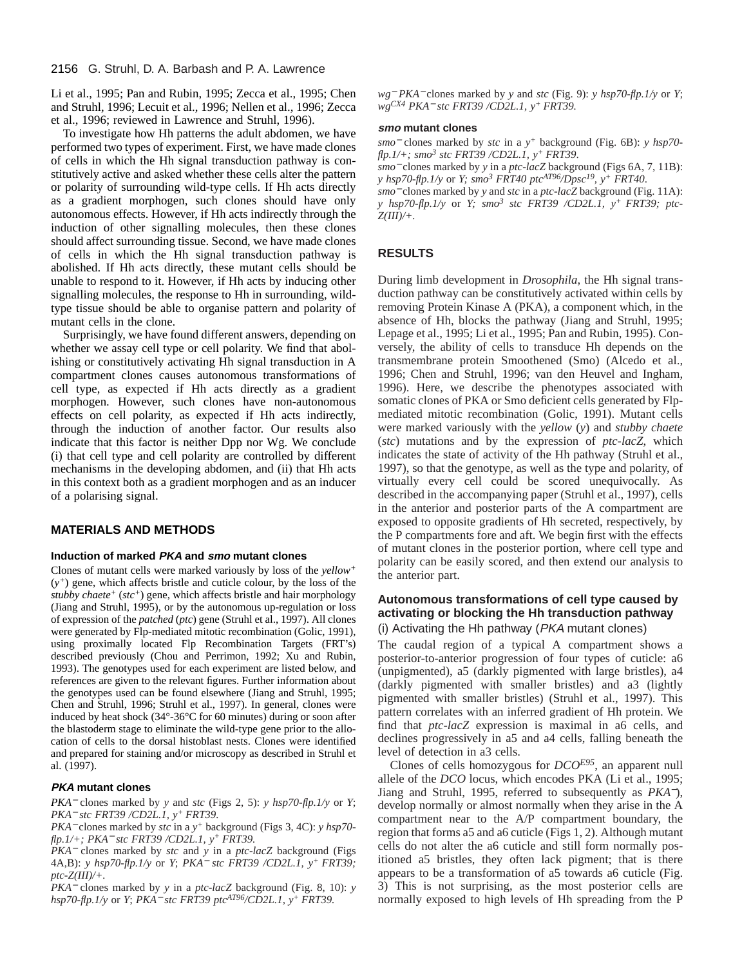Li et al., 1995; Pan and Rubin, 1995; Zecca et al., 1995; Chen and Struhl, 1996; Lecuit et al., 1996; Nellen et al., 1996; Zecca et al., 1996; reviewed in Lawrence and Struhl, 1996).

To investigate how Hh patterns the adult abdomen, we have performed two types of experiment. First, we have made clones of cells in which the Hh signal transduction pathway is constitutively active and asked whether these cells alter the pattern or polarity of surrounding wild-type cells. If Hh acts directly as a gradient morphogen, such clones should have only autonomous effects. However, if Hh acts indirectly through the induction of other signalling molecules, then these clones should affect surrounding tissue. Second, we have made clones of cells in which the Hh signal transduction pathway is abolished. If Hh acts directly, these mutant cells should be unable to respond to it. However, if Hh acts by inducing other signalling molecules, the response to Hh in surrounding, wildtype tissue should be able to organise pattern and polarity of mutant cells in the clone.

Surprisingly, we have found different answers, depending on whether we assay cell type or cell polarity. We find that abolishing or constitutively activating Hh signal transduction in A compartment clones causes autonomous transformations of cell type, as expected if Hh acts directly as a gradient morphogen. However, such clones have non-autonomous effects on cell polarity, as expected if Hh acts indirectly, through the induction of another factor. Our results also indicate that this factor is neither Dpp nor Wg. We conclude (i) that cell type and cell polarity are controlled by different mechanisms in the developing abdomen, and (ii) that Hh acts in this context both as a gradient morphogen and as an inducer of a polarising signal.

## **MATERIALS AND METHODS**

## **Induction of marked PKA and smo mutant clones**

Clones of mutant cells were marked variously by loss of the *yellow<sup>+</sup>* (*y+*) gene, which affects bristle and cuticle colour, by the loss of the *stubby chaete+* (*stc+*) gene, which affects bristle and hair morphology (Jiang and Struhl, 1995), or by the autonomous up-regulation or loss of expression of the *patched* (*ptc*) gene (Struhl et al., 1997). All clones were generated by Flp-mediated mitotic recombination (Golic, 1991), using proximally located Flp Recombination Targets (FRT's) described previously (Chou and Perrimon, 1992; Xu and Rubin, 1993). The genotypes used for each experiment are listed below, and references are given to the relevant figures. Further information about the genotypes used can be found elsewhere (Jiang and Struhl, 1995; Chen and Struhl, 1996; Struhl et al., 1997). In general, clones were induced by heat shock (34°-36°C for 60 minutes) during or soon after the blastoderm stage to eliminate the wild-type gene prior to the allocation of cells to the dorsal histoblast nests. Clones were identified and prepared for staining and/or microscopy as described in Struhl et al. (1997).

#### **PKA mutant clones**

*PKA*<sup>−</sup> clones marked by *y* and *stc* (Figs 2, 5): *y hsp70-flp.1/y* or *Y*; *PKA*<sup>−</sup> *stc FRT39 /CD2L.1, y+ FRT39.*

*PKA*<sup>−</sup> clones marked by *stc* in a *y+* background (Figs 3, 4C): *y hsp70 flp.1/+; PKA*<sup>−</sup> *stc FRT39 /CD2L.1, y+ FRT39.* 

*PKA*<sup>−</sup> clones marked by *stc* and *y* in a *ptc-lacZ* background (Figs 4A,B): *y hsp70-flp.1/y* or *Y*; *PKA*<sup>−</sup> *stc FRT39 /CD2L.1, y+ FRT39; ptc-Z(III)/+.*

*PKA*<sup>−</sup> clones marked by *y* in a *ptc-lacZ* background (Fig. 8, 10): *y hsp70-flp.1/y* or *Y*; *PKA*<sup>−</sup> *stc FRT39 ptcAT96/CD2L.1, y+ FRT39.*

*wg*<sup>−</sup> *PKA*<sup>−</sup> clones marked by *y* and *stc* (Fig. 9): *y hsp70-flp.1/y* or *Y*; *wgCX4 PKA*<sup>−</sup> *stc FRT39 /CD2L.1, y+ FRT39.*

#### **smo mutant clones**

*smo*<sup>−</sup> clones marked by *stc* in a *y+* background (Fig. 6B): *y hsp70 flp.1/+; smo<sup>3</sup> stc FRT39 /CD2L.1, y+ FRT39*.

*smo*<sup>−</sup> clones marked by *y* in a *ptc-lacZ* background (Figs 6A, 7, 11B): *y hsp70-flp.1/y* or *Y; smo<sup>3</sup> FRT40 ptcAT96/Dpsc19, y+ FRT40*.

*smo*<sup>−</sup> clones marked by *y* and *stc* in a *ptc-lacZ* background (Fig. 11A): *y hsp70-flp.1/y* or *Y; smo3 stc FRT39 /CD2L.1, y+ FRT39; ptc-Z(III)/+.*

#### **RESULTS**

During limb development in *Drosophila*, the Hh signal transduction pathway can be constitutively activated within cells by removing Protein Kinase A (PKA), a component which, in the absence of Hh, blocks the pathway (Jiang and Struhl, 1995; Lepage et al., 1995; Li et al., 1995; Pan and Rubin, 1995). Conversely, the ability of cells to transduce Hh depends on the transmembrane protein Smoothened (Smo) (Alcedo et al., 1996; Chen and Struhl, 1996; van den Heuvel and Ingham, 1996). Here, we describe the phenotypes associated with somatic clones of PKA or Smo deficient cells generated by Flpmediated mitotic recombination (Golic, 1991). Mutant cells were marked variously with the *yellow* (*y*) and *stubby chaete* (*stc*) mutations and by the expression of *ptc-lacZ*, which indicates the state of activity of the Hh pathway (Struhl et al., 1997), so that the genotype, as well as the type and polarity, of virtually every cell could be scored unequivocally. As described in the accompanying paper (Struhl et al., 1997), cells in the anterior and posterior parts of the A compartment are exposed to opposite gradients of Hh secreted, respectively, by the P compartments fore and aft. We begin first with the effects of mutant clones in the posterior portion, where cell type and polarity can be easily scored, and then extend our analysis to the anterior part.

## **Autonomous transformations of cell type caused by activating or blocking the Hh transduction pathway** (i) Activating the Hh pathway ( $PKA$  mutant clones)

The caudal region of a typical A compartment shows a posterior-to-anterior progression of four types of cuticle: a6 (unpigmented), a5 (darkly pigmented with large bristles), a4 (darkly pigmented with smaller bristles) and a3 (lightly pigmented with smaller bristles) (Struhl et al., 1997). This pattern correlates with an inferred gradient of Hh protein. We find that *ptc-lacZ* expression is maximal in a6 cells, and declines progressively in a5 and a4 cells, falling beneath the level of detection in a3 cells.

Clones of cells homozygous for *DCOE95*, an apparent null allele of the *DCO* locus, which encodes PKA (Li et al., 1995; Jiang and Struhl, 1995, referred to subsequently as *PKA*−), develop normally or almost normally when they arise in the A compartment near to the A/P compartment boundary, the region that forms a5 and a6 cuticle (Figs 1, 2). Although mutant cells do not alter the a6 cuticle and still form normally positioned a5 bristles, they often lack pigment; that is there appears to be a transformation of a5 towards a6 cuticle (Fig. 3) This is not surprising, as the most posterior cells are normally exposed to high levels of Hh spreading from the P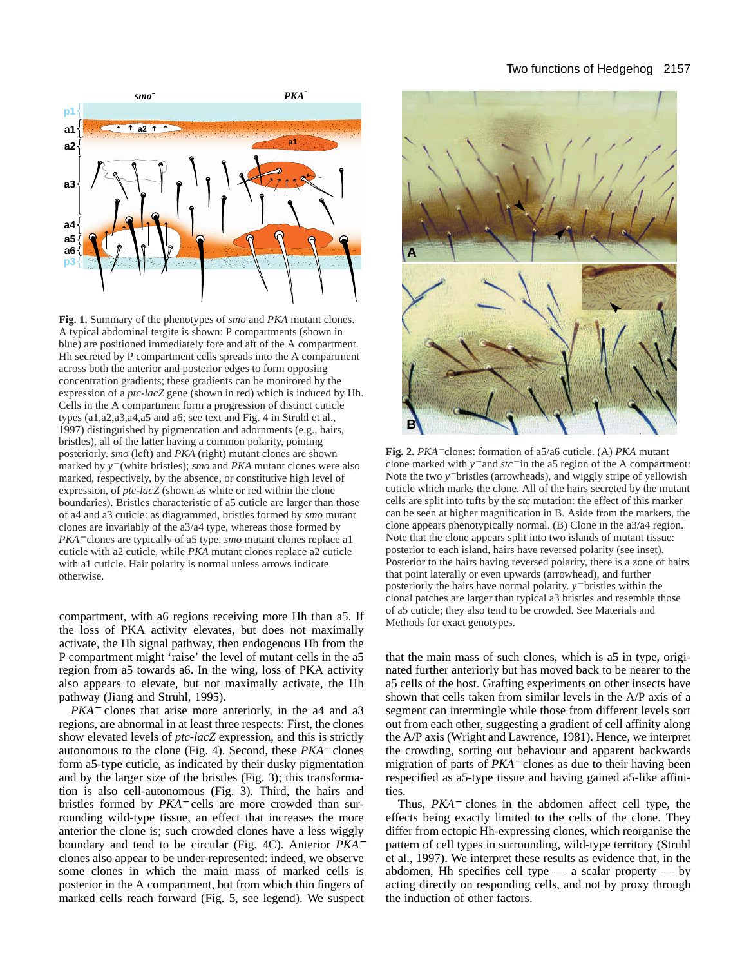## Two functions of Hedgehog 2157



**Fig. 1.** Summary of the phenotypes of *smo* and *PKA* mutant clones. A typical abdominal tergite is shown: P compartments (shown in blue) are positioned immediately fore and aft of the A compartment. Hh secreted by P compartment cells spreads into the A compartment across both the anterior and posterior edges to form opposing concentration gradients; these gradients can be monitored by the expression of a *ptc-lacZ* gene (shown in red) which is induced by Hh. Cells in the A compartment form a progression of distinct cuticle types (a1,a2,a3,a4,a5 and a6; see text and Fig. 4 in Struhl et al., 1997) distinguished by pigmentation and adornments (e.g., hairs, bristles), all of the latter having a common polarity, pointing posteriorly. *smo* (left) and *PKA* (right) mutant clones are shown marked by *y*<sup>−</sup> (white bristles); *smo* and *PKA* mutant clones were also marked, respectively, by the absence, or constitutive high level of expression, of *ptc-lacZ* (shown as white or red within the clone boundaries). Bristles characteristic of a5 cuticle are larger than those of a4 and a3 cuticle: as diagrammed, bristles formed by *smo* mutant clones are invariably of the a3/a4 type, whereas those formed by *PKA*<sup>−</sup> clones are typically of a5 type. *smo* mutant clones replace a1 cuticle with a2 cuticle, while *PKA* mutant clones replace a2 cuticle with a1 cuticle. Hair polarity is normal unless arrows indicate otherwise.

compartment, with a6 regions receiving more Hh than a5. If the loss of PKA activity elevates, but does not maximally activate, the Hh signal pathway, then endogenous Hh from the P compartment might 'raise' the level of mutant cells in the a5 region from a5 towards a6. In the wing, loss of PKA activity also appears to elevate, but not maximally activate, the Hh pathway (Jiang and Struhl, 1995).

*PKA*<sup>−</sup> clones that arise more anteriorly, in the a4 and a3 regions, are abnormal in at least three respects: First, the clones show elevated levels of *ptc-lacZ* expression, and this is strictly autonomous to the clone (Fig. 4). Second, these *PKA*<sup>−</sup> clones form a5-type cuticle, as indicated by their dusky pigmentation and by the larger size of the bristles (Fig. 3); this transformation is also cell-autonomous (Fig. 3). Third, the hairs and bristles formed by *PKA*<sup>−</sup> cells are more crowded than surrounding wild-type tissue, an effect that increases the more anterior the clone is; such crowded clones have a less wiggly boundary and tend to be circular (Fig. 4C). Anterior *PKA*<sup>−</sup> clones also appear to be under-represented: indeed, we observe some clones in which the main mass of marked cells is posterior in the A compartment, but from which thin fingers of marked cells reach forward (Fig. 5, see legend). We suspect



**Fig. 2.** *PKA*<sup>−</sup> clones: formation of a5/a6 cuticle. (A) *PKA* mutant clone marked with *y*<sup>−</sup> and *stc*<sup>−</sup> in the a5 region of the A compartment: Note the two *y*<sup>−</sup> bristles (arrowheads), and wiggly stripe of yellowish cuticle which marks the clone. All of the hairs secreted by the mutant cells are split into tufts by the *stc* mutation: the effect of this marker can be seen at higher magnification in B. Aside from the markers, the clone appears phenotypically normal. (B) Clone in the a3/a4 region. Note that the clone appears split into two islands of mutant tissue: posterior to each island, hairs have reversed polarity (see inset). Posterior to the hairs having reversed polarity, there is a zone of hairs that point laterally or even upwards (arrowhead), and further posteriorly the hairs have normal polarity. *y*<sup>−</sup> bristles within the clonal patches are larger than typical a3 bristles and resemble those of a5 cuticle; they also tend to be crowded. See Materials and Methods for exact genotypes.

that the main mass of such clones, which is a5 in type, originated further anteriorly but has moved back to be nearer to the a5 cells of the host. Grafting experiments on other insects have shown that cells taken from similar levels in the A/P axis of a segment can intermingle while those from different levels sort out from each other, suggesting a gradient of cell affinity along the A/P axis (Wright and Lawrence, 1981). Hence, we interpret the crowding, sorting out behaviour and apparent backwards migration of parts of *PKA*<sup>−</sup> clones as due to their having been respecified as a5-type tissue and having gained a5-like affinities.

Thus, *PKA*<sup>−</sup> clones in the abdomen affect cell type, the effects being exactly limited to the cells of the clone. They differ from ectopic Hh-expressing clones, which reorganise the pattern of cell types in surrounding, wild-type territory (Struhl et al., 1997). We interpret these results as evidence that, in the abdomen, Hh specifies cell type  $-$  a scalar property  $-$  by acting directly on responding cells, and not by proxy through the induction of other factors.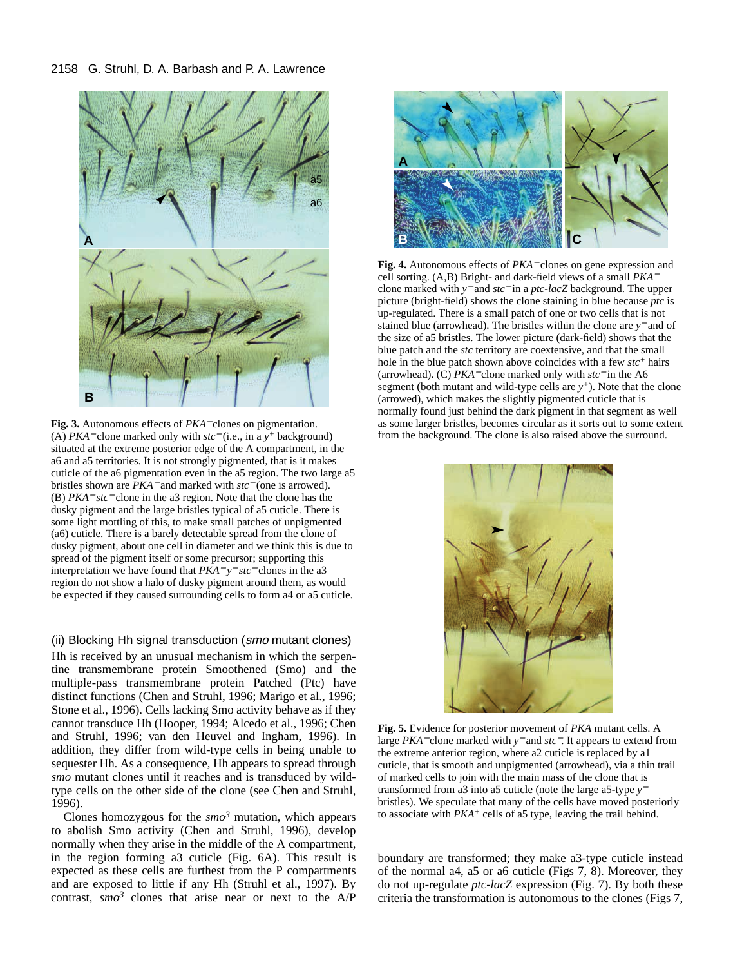#### 2158 G. Struhl, D. A. Barbash and P. A. Lawrence



**Fig. 3.** Autonomous effects of *PKA*<sup>−</sup> clones on pigmentation. (A) *PKA*<sup>−</sup> clone marked only with *stc*<sup>−</sup> (i.e., in a *y<sup>+</sup>* background) situated at the extreme posterior edge of the A compartment, in the a6 and a5 territories. It is not strongly pigmented, that is it makes cuticle of the a6 pigmentation even in the a5 region. The two large a5 bristles shown are *PKA*<sup>−</sup> and marked with *stc*<sup>−</sup> (one is arrowed). (B) *PKA*<sup>−</sup> *stc*<sup>−</sup> clone in the a3 region. Note that the clone has the dusky pigment and the large bristles typical of a5 cuticle. There is some light mottling of this, to make small patches of unpigmented (a6) cuticle. There is a barely detectable spread from the clone of dusky pigment, about one cell in diameter and we think this is due to spread of the pigment itself or some precursor; supporting this interpretation we have found that *PKA*<sup>−</sup> *y*<sup>−</sup> *stc*<sup>−</sup> clones in the a3 region do not show a halo of dusky pigment around them, as would be expected if they caused surrounding cells to form a4 or a5 cuticle.

(ii) Blocking Hh signal transduction (smo mutant clones) Hh is received by an unusual mechanism in which the serpentine transmembrane protein Smoothened (Smo) and the multiple-pass transmembrane protein Patched (Ptc) have distinct functions (Chen and Struhl, 1996; Marigo et al., 1996; Stone et al., 1996). Cells lacking Smo activity behave as if they cannot transduce Hh (Hooper, 1994; Alcedo et al., 1996; Chen and Struhl, 1996; van den Heuvel and Ingham, 1996). In addition, they differ from wild-type cells in being unable to sequester Hh. As a consequence, Hh appears to spread through *smo* mutant clones until it reaches and is transduced by wildtype cells on the other side of the clone (see Chen and Struhl, 1996).

Clones homozygous for the  $smo<sup>3</sup>$  mutation, which appears to abolish Smo activity (Chen and Struhl, 1996), develop normally when they arise in the middle of the A compartment, in the region forming a3 cuticle (Fig. 6A). This result is expected as these cells are furthest from the P compartments and are exposed to little if any Hh (Struhl et al., 1997). By contrast, *smo3* clones that arise near or next to the A/P



**Fig. 4.** Autonomous effects of *PKA*<sup>−</sup> clones on gene expression and cell sorting. (A,B) Bright- and dark-field views of a small *PKA*<sup>−</sup> clone marked with *y*<sup>−</sup> and *stc*<sup>−</sup> in a *ptc-lacZ* background. The upper picture (bright-field) shows the clone staining in blue because *ptc* is up-regulated. There is a small patch of one or two cells that is not stained blue (arrowhead). The bristles within the clone are *y*<sup>−</sup> and of the size of a5 bristles. The lower picture (dark-field) shows that the blue patch and the *stc* territory are coextensive, and that the small hole in the blue patch shown above coincides with a few *stc+* hairs (arrowhead). (C) *PKA*<sup>−</sup> clone marked only with *stc*<sup>−</sup> in the A6 segment (both mutant and wild-type cells are  $y^+$ ). Note that the clone (arrowed), which makes the slightly pigmented cuticle that is normally found just behind the dark pigment in that segment as well as some larger bristles, becomes circular as it sorts out to some extent from the background. The clone is also raised above the surround.



**Fig. 5.** Evidence for posterior movement of *PKA* mutant cells. A large *PKA*<sup>−</sup> clone marked with *y*<sup>−</sup> and *stc*−. It appears to extend from the extreme anterior region, where a2 cuticle is replaced by a1 cuticle, that is smooth and unpigmented (arrowhead), via a thin trail of marked cells to join with the main mass of the clone that is transformed from a3 into a5 cuticle (note the large a5-type *y*<sup>−</sup> bristles). We speculate that many of the cells have moved posteriorly to associate with *PKA+* cells of a5 type, leaving the trail behind.

boundary are transformed; they make a3-type cuticle instead of the normal a4, a5 or a6 cuticle (Figs 7, 8). Moreover, they do not up-regulate *ptc-lacZ* expression (Fig. 7). By both these criteria the transformation is autonomous to the clones (Figs 7,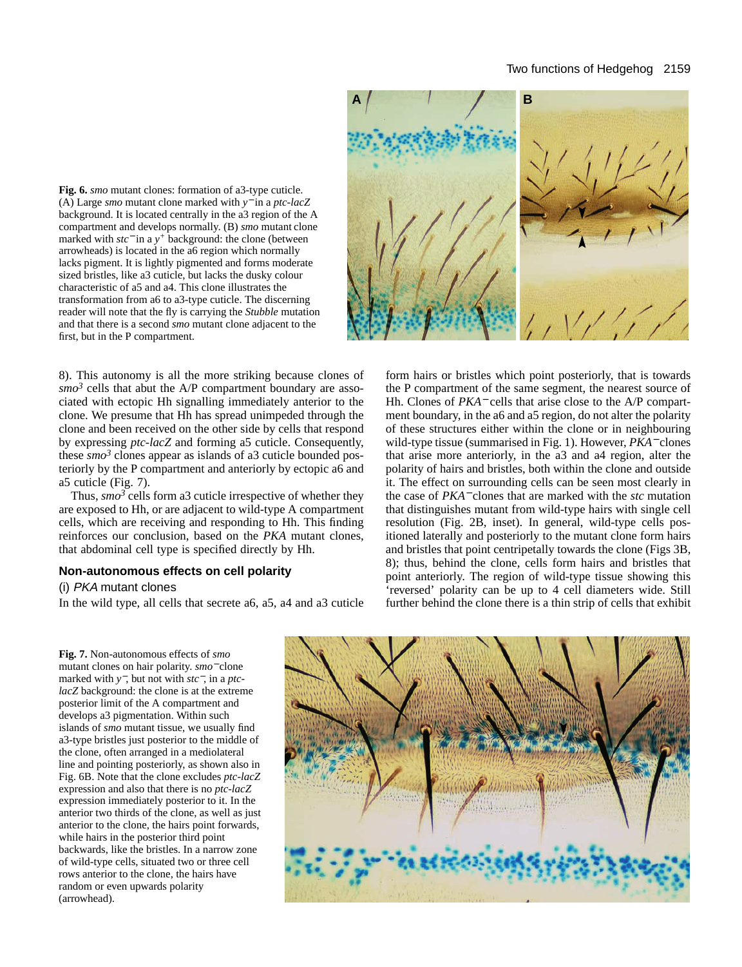## Two functions of Hedgehog 2159

**Fig. 6.** *smo* mutant clones: formation of a3-type cuticle. (A) Large *smo* mutant clone marked with *y*<sup>−</sup> in a *ptc-lacZ* background. It is located centrally in the a3 region of the A compartment and develops normally. (B) *smo* mutant clone marked with *stc*<sup>−</sup> in a *y<sup>+</sup>* background: the clone (between arrowheads) is located in the a6 region which normally lacks pigment. It is lightly pigmented and forms moderate sized bristles, like a3 cuticle, but lacks the dusky colour characteristic of a5 and a4. This clone illustrates the transformation from a6 to a3-type cuticle. The discerning reader will note that the fly is carrying the *Stubble* mutation and that there is a second *smo* mutant clone adjacent to the first, but in the P compartment.

8). This autonomy is all the more striking because clones of  $smo<sup>3</sup>$  cells that abut the A/P compartment boundary are associated with ectopic Hh signalling immediately anterior to the clone. We presume that Hh has spread unimpeded through the clone and been received on the other side by cells that respond by expressing *ptc-lacZ* and forming a5 cuticle. Consequently, these  $\sin \theta^3$  clones appear as islands of a3 cuticle bounded posteriorly by the P compartment and anteriorly by ectopic a6 and a5 cuticle (Fig. 7).

Thus,  $\sin \theta^3$  cells form a 3 cuticle irrespective of whether they are exposed to Hh, or are adjacent to wild-type A compartment cells, which are receiving and responding to Hh. This finding reinforces our conclusion, based on the *PKA* mutant clones, that abdominal cell type is specified directly by Hh.

## **Non-autonomous effects on cell polarity**

(i) PKA mutant clones

In the wild type, all cells that secrete a6, a5, a4 and a3 cuticle



form hairs or bristles which point posteriorly, that is towards the P compartment of the same segment, the nearest source of Hh. Clones of *PKA*<sup>−</sup> cells that arise close to the A/P compartment boundary, in the a6 and a5 region, do not alter the polarity of these structures either within the clone or in neighbouring wild-type tissue (summarised in Fig. 1). However, *PKA*<sup>−</sup> clones that arise more anteriorly, in the a3 and a4 region, alter the polarity of hairs and bristles, both within the clone and outside it. The effect on surrounding cells can be seen most clearly in the case of *PKA*<sup>−</sup> clones that are marked with the *stc* mutation that distinguishes mutant from wild-type hairs with single cell resolution (Fig. 2B, inset). In general, wild-type cells positioned laterally and posteriorly to the mutant clone form hairs and bristles that point centripetally towards the clone (Figs 3B, 8); thus, behind the clone, cells form hairs and bristles that point anteriorly. The region of wild-type tissue showing this 'reversed' polarity can be up to 4 cell diameters wide. Still further behind the clone there is a thin strip of cells that exhibit

**Fig. 7.** Non-autonomous effects of *smo* mutant clones on hair polarity. *smo*<sup>−</sup> clone marked with *y*−, but not with *stc*−, in a *ptclacZ* background: the clone is at the extreme posterior limit of the A compartment and develops a3 pigmentation. Within such islands of *smo* mutant tissue, we usually find a3-type bristles just posterior to the middle of the clone, often arranged in a mediolateral line and pointing posteriorly, as shown also in Fig. 6B. Note that the clone excludes *ptc-lacZ* expression and also that there is no *ptc-lacZ* expression immediately posterior to it. In the anterior two thirds of the clone, as well as just anterior to the clone, the hairs point forwards, while hairs in the posterior third point backwards, like the bristles. In a narrow zone of wild-type cells, situated two or three cell rows anterior to the clone, the hairs have random or even upwards polarity (arrowhead).

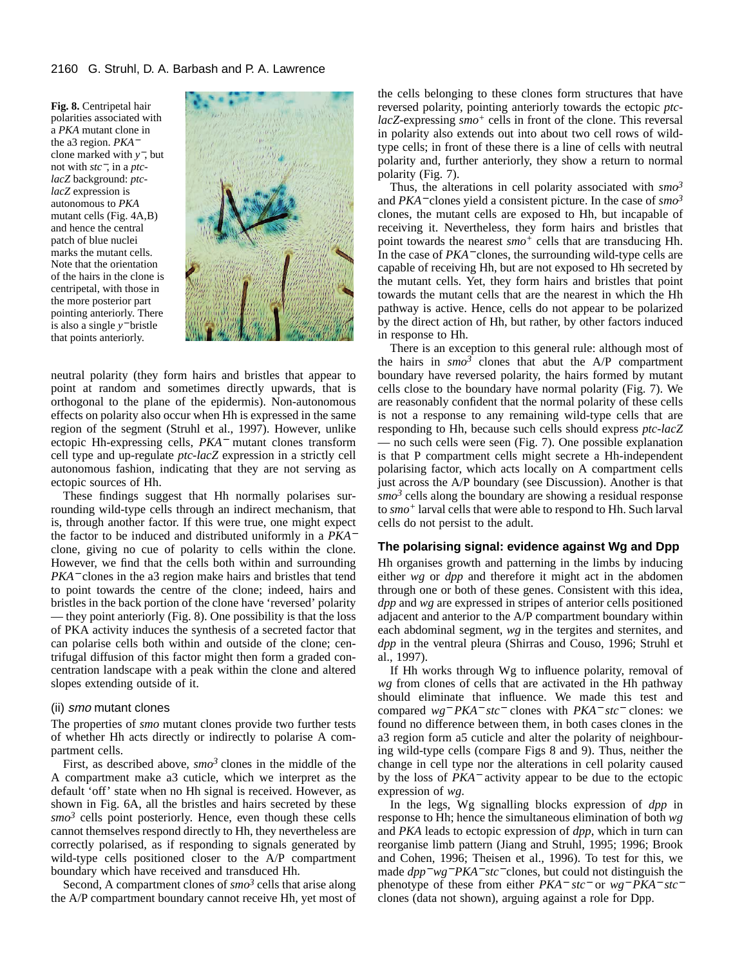**Fig. 8.** Centripetal hair polarities associated with a *PKA* mutant clone in the a3 region. *PKA*<sup>−</sup> clone marked with *y*−, but not with *stc*−, in a *ptclacZ* background: *ptclacZ* expression is autonomous to *PKA* mutant cells (Fig. 4A,B) and hence the central patch of blue nuclei marks the mutant cells. Note that the orientation of the hairs in the clone is centripetal, with those in the more posterior part pointing anteriorly. There is also a single *y*<sup>−</sup> bristle that points anteriorly.



neutral polarity (they form hairs and bristles that appear to point at random and sometimes directly upwards, that is orthogonal to the plane of the epidermis). Non-autonomous effects on polarity also occur when Hh is expressed in the same region of the segment (Struhl et al., 1997). However, unlike ectopic Hh-expressing cells, *PKA*<sup>−</sup> mutant clones transform cell type and up-regulate *ptc-lacZ* expression in a strictly cell autonomous fashion, indicating that they are not serving as ectopic sources of Hh.

These findings suggest that Hh normally polarises surrounding wild-type cells through an indirect mechanism, that is, through another factor. If this were true, one might expect the factor to be induced and distributed uniformly in a *PKA*<sup>−</sup> clone, giving no cue of polarity to cells within the clone. However, we find that the cells both within and surrounding *PKA*<sup>−</sup> clones in the a3 region make hairs and bristles that tend to point towards the centre of the clone; indeed, hairs and bristles in the back portion of the clone have 'reversed' polarity — they point anteriorly (Fig. 8). One possibility is that the loss of PKA activity induces the synthesis of a secreted factor that can polarise cells both within and outside of the clone; centrifugal diffusion of this factor might then form a graded concentration landscape with a peak within the clone and altered slopes extending outside of it.

#### (ii) smo mutant clones

The properties of *smo* mutant clones provide two further tests of whether Hh acts directly or indirectly to polarise A compartment cells.

First, as described above, *smo3* clones in the middle of the A compartment make a3 cuticle, which we interpret as the default 'off' state when no Hh signal is received. However, as shown in Fig. 6A, all the bristles and hairs secreted by these  $smo<sup>3</sup>$  cells point posteriorly. Hence, even though these cells cannot themselves respond directly to Hh, they nevertheless are correctly polarised, as if responding to signals generated by wild-type cells positioned closer to the A/P compartment boundary which have received and transduced Hh.

Second, A compartment clones of *smo3* cells that arise along the A/P compartment boundary cannot receive Hh, yet most of the cells belonging to these clones form structures that have reversed polarity, pointing anteriorly towards the ectopic *ptclacZ*-expressing *smo<sup>+</sup>* cells in front of the clone. This reversal in polarity also extends out into about two cell rows of wildtype cells; in front of these there is a line of cells with neutral polarity and, further anteriorly, they show a return to normal polarity (Fig. 7).

Thus, the alterations in cell polarity associated with *smo3* and *PKA*<sup>−</sup> clones yield a consistent picture. In the case of *smo3* clones, the mutant cells are exposed to Hh, but incapable of receiving it. Nevertheless, they form hairs and bristles that point towards the nearest *smo+* cells that are transducing Hh. In the case of *PKA*<sup>−</sup> clones, the surrounding wild-type cells are capable of receiving Hh, but are not exposed to Hh secreted by the mutant cells. Yet, they form hairs and bristles that point towards the mutant cells that are the nearest in which the Hh pathway is active. Hence, cells do not appear to be polarized by the direct action of Hh, but rather, by other factors induced in response to Hh.

There is an exception to this general rule: although most of the hairs in  $smo^3$  clones that abut the  $A/P$  compartment boundary have reversed polarity, the hairs formed by mutant cells close to the boundary have normal polarity (Fig. 7). We are reasonably confident that the normal polarity of these cells is not a response to any remaining wild-type cells that are responding to Hh, because such cells should express *ptc-lacZ* — no such cells were seen (Fig. 7). One possible explanation is that P compartment cells might secrete a Hh-independent polarising factor, which acts locally on A compartment cells just across the A/P boundary (see Discussion). Another is that  $smo<sup>3</sup>$  cells along the boundary are showing a residual response to *smo+* larval cells that were able to respond to Hh. Such larval cells do not persist to the adult.

## **The polarising signal: evidence against Wg and Dpp**

Hh organises growth and patterning in the limbs by inducing either *wg* or *dpp* and therefore it might act in the abdomen through one or both of these genes. Consistent with this idea, *dpp* and *wg* are expressed in stripes of anterior cells positioned adjacent and anterior to the A/P compartment boundary within each abdominal segment, *wg* in the tergites and sternites, and *dpp* in the ventral pleura (Shirras and Couso, 1996; Struhl et al., 1997).

If Hh works through Wg to influence polarity, removal of *wg* from clones of cells that are activated in the Hh pathway should eliminate that influence. We made this test and compared *wg*<sup>−</sup> *PKA*<sup>−</sup> *stc*<sup>−</sup> clones with *PKA*<sup>−</sup> *stc*<sup>−</sup> clones: we found no difference between them, in both cases clones in the a3 region form a5 cuticle and alter the polarity of neighbouring wild-type cells (compare Figs 8 and 9). Thus, neither the change in cell type nor the alterations in cell polarity caused by the loss of *PKA*<sup>−</sup> activity appear to be due to the ectopic expression of *wg*.

In the legs, Wg signalling blocks expression of *dpp* in response to Hh; hence the simultaneous elimination of both *wg* and *PKA* leads to ectopic expression of *dpp*, which in turn can reorganise limb pattern (Jiang and Struhl, 1995; 1996; Brook and Cohen, 1996; Theisen et al., 1996). To test for this, we made *dpp*<sup>−</sup> *wg*<sup>−</sup> *PKA*<sup>−</sup> *stc*<sup>−</sup> clones, but could not distinguish the phenotype of these from either *PKA*<sup>−</sup> *stc*<sup>−</sup> or *wg*<sup>−</sup> *PKA*<sup>−</sup> *stc*<sup>−</sup> clones (data not shown), arguing against a role for Dpp.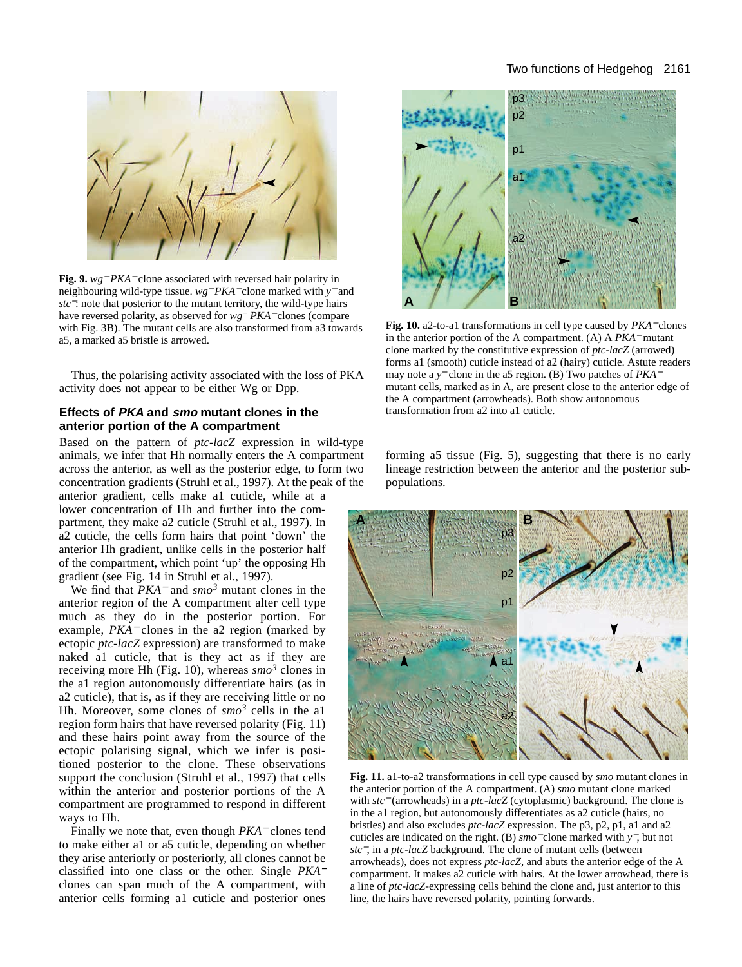## Two functions of Hedgehog 2161



**Fig. 9.** *wg*<sup>−</sup> *PKA*<sup>−</sup> clone associated with reversed hair polarity in neighbouring wild-type tissue. *wg*<sup>−</sup> *PKA*<sup>−</sup> clone marked with *y*<sup>−</sup> and *stc*<sup>−</sup>: note that posterior to the mutant territory, the wild-type hairs have reversed polarity, as observed for *wg+ PKA*<sup>−</sup> clones (compare with Fig. 3B). The mutant cells are also transformed from a3 towards a5, a marked a5 bristle is arrowed.

Thus, the polarising activity associated with the loss of PKA activity does not appear to be either Wg or Dpp.

## **Effects of PKA and smo mutant clones in the anterior portion of the A compartment**

Based on the pattern of *ptc-lacZ* expression in wild-type animals, we infer that Hh normally enters the A compartment across the anterior, as well as the posterior edge, to form two concentration gradients (Struhl et al., 1997). At the peak of the anterior gradient, cells make a1 cuticle, while at a

lower concentration of Hh and further into the compartment, they make a2 cuticle (Struhl et al., 1997). In a2 cuticle, the cells form hairs that point 'down' the anterior Hh gradient, unlike cells in the posterior half of the compartment, which point 'up' the opposing Hh gradient (see Fig. 14 in Struhl et al., 1997).

We find that *PKA*<sup>−</sup> and *smo<sup>3</sup>* mutant clones in the anterior region of the A compartment alter cell type much as they do in the posterior portion. For example, *PKA*<sup>−</sup> clones in the a2 region (marked by ectopic *ptc-lacZ* expression) are transformed to make naked a1 cuticle, that is they act as if they are receiving more Hh (Fig. 10), whereas  $\sin \theta^3$  clones in the a1 region autonomously differentiate hairs (as in a2 cuticle), that is, as if they are receiving little or no Hh. Moreover, some clones of  $smo^3$  cells in the al region form hairs that have reversed polarity (Fig. 11) and these hairs point away from the source of the ectopic polarising signal, which we infer is positioned posterior to the clone. These observations support the conclusion (Struhl et al., 1997) that cells within the anterior and posterior portions of the A compartment are programmed to respond in different ways to Hh.

Finally we note that, even though *PKA*<sup>−</sup> clones tend to make either a1 or a5 cuticle, depending on whether they arise anteriorly or posteriorly, all clones cannot be classified into one class or the other. Single *PKA*<sup>−</sup> clones can span much of the A compartment, with anterior cells forming a1 cuticle and posterior ones



**Fig. 10.** a2-to-a1 transformations in cell type caused by *PKA*<sup>−</sup> clones in the anterior portion of the A compartment. (A) A *PKA*<sup>−</sup> mutant clone marked by the constitutive expression of *ptc-lacZ* (arrowed) forms a1 (smooth) cuticle instead of a2 (hairy) cuticle. Astute readers may note a *y*<sup>−</sup> clone in the a5 region. (B) Two patches of *PKA*<sup>−</sup> mutant cells, marked as in A, are present close to the anterior edge of the A compartment (arrowheads). Both show autonomous transformation from a2 into a1 cuticle.

forming a5 tissue (Fig. 5), suggesting that there is no early lineage restriction between the anterior and the posterior subpopulations.



**Fig. 11.** a1-to-a2 transformations in cell type caused by *smo* mutant clones in the anterior portion of the A compartment. (A) *smo* mutant clone marked with *stc*<sup>−</sup> (arrowheads) in a *ptc-lacZ* (cytoplasmic) background. The clone is in the a1 region, but autonomously differentiates as a2 cuticle (hairs, no bristles) and also excludes *ptc-lacZ* expression. The p3, p2, p1, a1 and a2 cuticles are indicated on the right. (B) *smo*<sup>−</sup> clone marked with *y*−, but not *stc*−, in a *ptc-lacZ* background. The clone of mutant cells (between arrowheads), does not express *ptc-lacZ*, and abuts the anterior edge of the A compartment. It makes a2 cuticle with hairs. At the lower arrowhead, there is a line of *ptc-lacZ*-expressing cells behind the clone and, just anterior to this line, the hairs have reversed polarity, pointing forwards.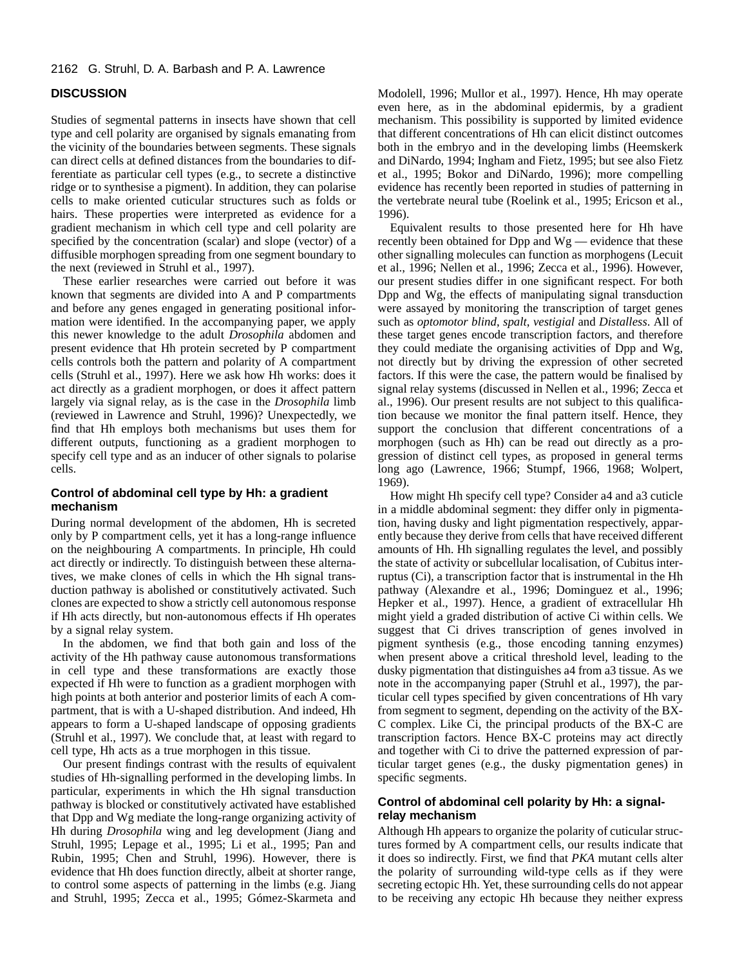## 2162 G. Struhl, D. A. Barbash and P. A. Lawrence

## **DISCUSSION**

Studies of segmental patterns in insects have shown that cell type and cell polarity are organised by signals emanating from the vicinity of the boundaries between segments. These signals can direct cells at defined distances from the boundaries to differentiate as particular cell types (e.g., to secrete a distinctive ridge or to synthesise a pigment). In addition, they can polarise cells to make oriented cuticular structures such as folds or hairs. These properties were interpreted as evidence for a gradient mechanism in which cell type and cell polarity are specified by the concentration (scalar) and slope (vector) of a diffusible morphogen spreading from one segment boundary to the next (reviewed in Struhl et al., 1997).

These earlier researches were carried out before it was known that segments are divided into A and P compartments and before any genes engaged in generating positional information were identified. In the accompanying paper, we apply this newer knowledge to the adult *Drosophila* abdomen and present evidence that Hh protein secreted by P compartment cells controls both the pattern and polarity of A compartment cells (Struhl et al., 1997). Here we ask how Hh works: does it act directly as a gradient morphogen, or does it affect pattern largely via signal relay, as is the case in the *Drosophila* limb (reviewed in Lawrence and Struhl, 1996)? Unexpectedly, we find that Hh employs both mechanisms but uses them for different outputs, functioning as a gradient morphogen to specify cell type and as an inducer of other signals to polarise cells.

## **Control of abdominal cell type by Hh: a gradient mechanism**

During normal development of the abdomen, Hh is secreted only by P compartment cells, yet it has a long-range influence on the neighbouring A compartments. In principle, Hh could act directly or indirectly. To distinguish between these alternatives, we make clones of cells in which the Hh signal transduction pathway is abolished or constitutively activated. Such clones are expected to show a strictly cell autonomous response if Hh acts directly, but non-autonomous effects if Hh operates by a signal relay system.

In the abdomen, we find that both gain and loss of the activity of the Hh pathway cause autonomous transformations in cell type and these transformations are exactly those expected if Hh were to function as a gradient morphogen with high points at both anterior and posterior limits of each A compartment, that is with a U-shaped distribution. And indeed, Hh appears to form a U-shaped landscape of opposing gradients (Struhl et al., 1997). We conclude that, at least with regard to cell type, Hh acts as a true morphogen in this tissue.

Our present findings contrast with the results of equivalent studies of Hh-signalling performed in the developing limbs. In particular, experiments in which the Hh signal transduction pathway is blocked or constitutively activated have established that Dpp and Wg mediate the long-range organizing activity of Hh during *Drosophila* wing and leg development (Jiang and Struhl, 1995; Lepage et al., 1995; Li et al., 1995; Pan and Rubin, 1995; Chen and Struhl, 1996). However, there is evidence that Hh does function directly, albeit at shorter range, to control some aspects of patterning in the limbs (e.g. Jiang and Struhl, 1995; Zecca et al., 1995; Gómez-Skarmeta and

Modolell, 1996; Mullor et al., 1997). Hence, Hh may operate even here, as in the abdominal epidermis, by a gradient mechanism. This possibility is supported by limited evidence that different concentrations of Hh can elicit distinct outcomes both in the embryo and in the developing limbs (Heemskerk and DiNardo, 1994; Ingham and Fietz, 1995; but see also Fietz et al., 1995; Bokor and DiNardo, 1996); more compelling evidence has recently been reported in studies of patterning in the vertebrate neural tube (Roelink et al., 1995; Ericson et al., 1996).

Equivalent results to those presented here for Hh have recently been obtained for Dpp and Wg — evidence that these other signalling molecules can function as morphogens (Lecuit et al., 1996; Nellen et al., 1996; Zecca et al., 1996). However, our present studies differ in one significant respect. For both Dpp and Wg, the effects of manipulating signal transduction were assayed by monitoring the transcription of target genes such as *optomotor blind*, *spalt*, *vestigial* and *Distalless*. All of these target genes encode transcription factors, and therefore they could mediate the organising activities of Dpp and Wg, not directly but by driving the expression of other secreted factors. If this were the case, the pattern would be finalised by signal relay systems (discussed in Nellen et al., 1996; Zecca et al., 1996). Our present results are not subject to this qualification because we monitor the final pattern itself. Hence, they support the conclusion that different concentrations of a morphogen (such as Hh) can be read out directly as a progression of distinct cell types, as proposed in general terms long ago (Lawrence, 1966; Stumpf, 1966, 1968; Wolpert, 1969).

How might Hh specify cell type? Consider a4 and a3 cuticle in a middle abdominal segment: they differ only in pigmentation, having dusky and light pigmentation respectively, apparently because they derive from cells that have received different amounts of Hh. Hh signalling regulates the level, and possibly the state of activity or subcellular localisation, of Cubitus interruptus (Ci), a transcription factor that is instrumental in the Hh pathway (Alexandre et al., 1996; Dominguez et al., 1996; Hepker et al., 1997). Hence, a gradient of extracellular Hh might yield a graded distribution of active Ci within cells. We suggest that Ci drives transcription of genes involved in pigment synthesis (e.g., those encoding tanning enzymes) when present above a critical threshold level, leading to the dusky pigmentation that distinguishes a4 from a3 tissue. As we note in the accompanying paper (Struhl et al., 1997), the particular cell types specified by given concentrations of Hh vary from segment to segment, depending on the activity of the BX-C complex. Like Ci, the principal products of the BX-C are transcription factors. Hence BX-C proteins may act directly and together with Ci to drive the patterned expression of particular target genes (e.g., the dusky pigmentation genes) in specific segments.

## **Control of abdominal cell polarity by Hh: a signalrelay mechanism**

Although Hh appears to organize the polarity of cuticular structures formed by A compartment cells, our results indicate that it does so indirectly. First, we find that *PKA* mutant cells alter the polarity of surrounding wild-type cells as if they were secreting ectopic Hh. Yet, these surrounding cells do not appear to be receiving any ectopic Hh because they neither express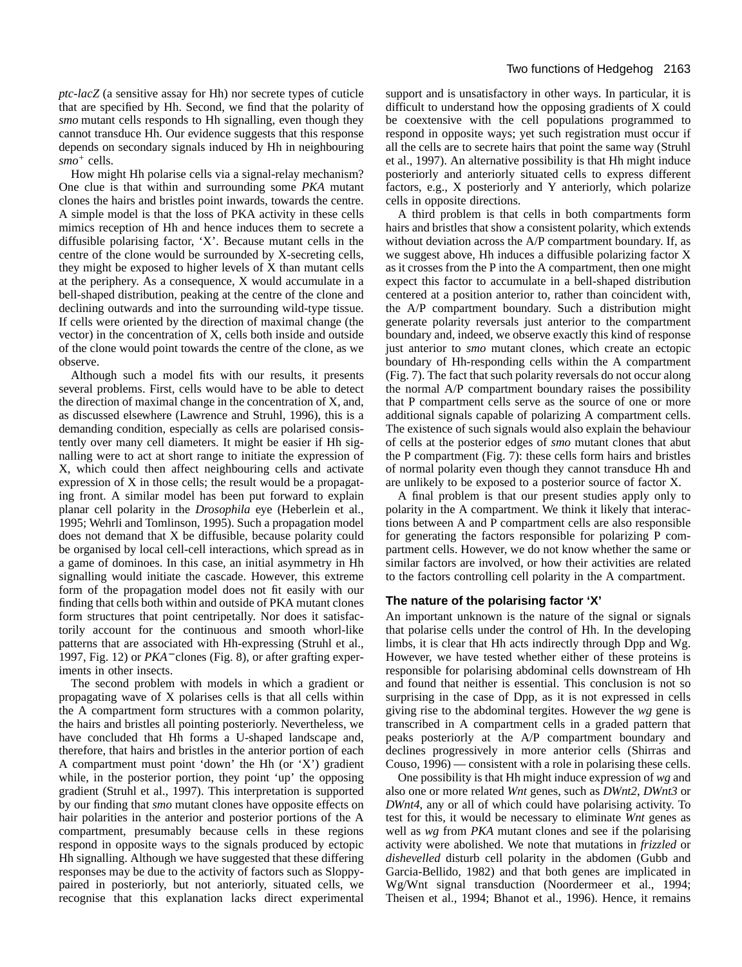*ptc-lacZ* (a sensitive assay for Hh) nor secrete types of cuticle that are specified by Hh. Second, we find that the polarity of *smo* mutant cells responds to Hh signalling, even though they cannot transduce Hh. Our evidence suggests that this response depends on secondary signals induced by Hh in neighbouring *smo<sup>+</sup>* cells.

How might Hh polarise cells via a signal-relay mechanism? One clue is that within and surrounding some *PKA* mutant clones the hairs and bristles point inwards, towards the centre. A simple model is that the loss of PKA activity in these cells mimics reception of Hh and hence induces them to secrete a diffusible polarising factor, 'X'. Because mutant cells in the centre of the clone would be surrounded by X-secreting cells, they might be exposed to higher levels of X than mutant cells at the periphery. As a consequence, X would accumulate in a bell-shaped distribution, peaking at the centre of the clone and declining outwards and into the surrounding wild-type tissue. If cells were oriented by the direction of maximal change (the vector) in the concentration of X, cells both inside and outside of the clone would point towards the centre of the clone, as we observe.

Although such a model fits with our results, it presents several problems. First, cells would have to be able to detect the direction of maximal change in the concentration of X, and, as discussed elsewhere (Lawrence and Struhl, 1996), this is a demanding condition, especially as cells are polarised consistently over many cell diameters. It might be easier if Hh signalling were to act at short range to initiate the expression of X, which could then affect neighbouring cells and activate expression of X in those cells; the result would be a propagating front. A similar model has been put forward to explain planar cell polarity in the *Drosophila* eye (Heberlein et al., 1995; Wehrli and Tomlinson, 1995). Such a propagation model does not demand that X be diffusible, because polarity could be organised by local cell-cell interactions, which spread as in a game of dominoes. In this case, an initial asymmetry in Hh signalling would initiate the cascade. However, this extreme form of the propagation model does not fit easily with our finding that cells both within and outside of PKA mutant clones form structures that point centripetally. Nor does it satisfactorily account for the continuous and smooth whorl-like patterns that are associated with Hh-expressing (Struhl et al., 1997, Fig. 12) or *PKA*<sup>−</sup> clones (Fig. 8), or after grafting experiments in other insects.

The second problem with models in which a gradient or propagating wave of X polarises cells is that all cells within the A compartment form structures with a common polarity, the hairs and bristles all pointing posteriorly. Nevertheless, we have concluded that Hh forms a U-shaped landscape and, therefore, that hairs and bristles in the anterior portion of each A compartment must point 'down' the Hh (or 'X') gradient while, in the posterior portion, they point 'up' the opposing gradient (Struhl et al., 1997). This interpretation is supported by our finding that *smo* mutant clones have opposite effects on hair polarities in the anterior and posterior portions of the A compartment, presumably because cells in these regions respond in opposite ways to the signals produced by ectopic Hh signalling. Although we have suggested that these differing responses may be due to the activity of factors such as Sloppypaired in posteriorly, but not anteriorly, situated cells, we recognise that this explanation lacks direct experimental

support and is unsatisfactory in other ways. In particular, it is difficult to understand how the opposing gradients of X could be coextensive with the cell populations programmed to respond in opposite ways; yet such registration must occur if all the cells are to secrete hairs that point the same way (Struhl et al., 1997). An alternative possibility is that Hh might induce posteriorly and anteriorly situated cells to express different factors, e.g., X posteriorly and Y anteriorly, which polarize cells in opposite directions.

A third problem is that cells in both compartments form hairs and bristles that show a consistent polarity, which extends without deviation across the A/P compartment boundary. If, as we suggest above, Hh induces a diffusible polarizing factor X as it crosses from the P into the A compartment, then one might expect this factor to accumulate in a bell-shaped distribution centered at a position anterior to, rather than coincident with, the A/P compartment boundary. Such a distribution might generate polarity reversals just anterior to the compartment boundary and, indeed, we observe exactly this kind of response just anterior to *smo* mutant clones, which create an ectopic boundary of Hh-responding cells within the A compartment (Fig. 7). The fact that such polarity reversals do not occur along the normal A/P compartment boundary raises the possibility that P compartment cells serve as the source of one or more additional signals capable of polarizing A compartment cells. The existence of such signals would also explain the behaviour of cells at the posterior edges of *smo* mutant clones that abut the P compartment (Fig. 7): these cells form hairs and bristles of normal polarity even though they cannot transduce Hh and are unlikely to be exposed to a posterior source of factor X.

A final problem is that our present studies apply only to polarity in the A compartment. We think it likely that interactions between A and P compartment cells are also responsible for generating the factors responsible for polarizing P compartment cells. However, we do not know whether the same or similar factors are involved, or how their activities are related to the factors controlling cell polarity in the A compartment.

## **The nature of the polarising factor 'X'**

An important unknown is the nature of the signal or signals that polarise cells under the control of Hh. In the developing limbs, it is clear that Hh acts indirectly through Dpp and Wg. However, we have tested whether either of these proteins is responsible for polarising abdominal cells downstream of Hh and found that neither is essential. This conclusion is not so surprising in the case of Dpp, as it is not expressed in cells giving rise to the abdominal tergites. However the *wg* gene is transcribed in A compartment cells in a graded pattern that peaks posteriorly at the A/P compartment boundary and declines progressively in more anterior cells (Shirras and Couso, 1996) — consistent with a role in polarising these cells.

One possibility is that Hh might induce expression of *wg* and also one or more related *Wnt* genes, such as *DWnt2*, *DWnt3* or *DWnt4*, any or all of which could have polarising activity. To test for this, it would be necessary to eliminate *Wnt* genes as well as *wg* from *PKA* mutant clones and see if the polarising activity were abolished. We note that mutations in *frizzled* or *dishevelled* disturb cell polarity in the abdomen (Gubb and Garcia-Bellido, 1982) and that both genes are implicated in Wg/Wnt signal transduction (Noordermeer et al., 1994; Theisen et al., 1994; Bhanot et al., 1996). Hence, it remains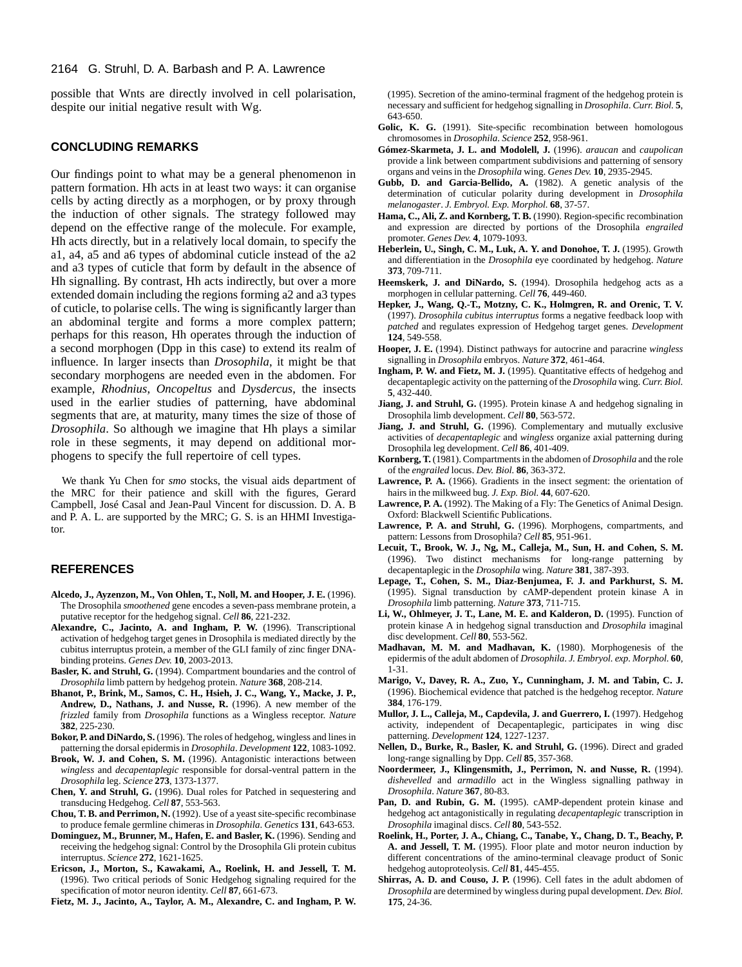#### 2164 G. Struhl, D. A. Barbash and P. A. Lawrence

possible that Wnts are directly involved in cell polarisation, despite our initial negative result with Wg.

#### **CONCLUDING REMARKS**

Our findings point to what may be a general phenomenon in pattern formation. Hh acts in at least two ways: it can organise cells by acting directly as a morphogen, or by proxy through the induction of other signals. The strategy followed may depend on the effective range of the molecule. For example, Hh acts directly, but in a relatively local domain, to specify the a1, a4, a5 and a6 types of abdominal cuticle instead of the a2 and a3 types of cuticle that form by default in the absence of Hh signalling. By contrast, Hh acts indirectly, but over a more extended domain including the regions forming a2 and a3 types of cuticle, to polarise cells. The wing is significantly larger than an abdominal tergite and forms a more complex pattern; perhaps for this reason, Hh operates through the induction of a second morphogen (Dpp in this case) to extend its realm of influence. In larger insects than *Drosophila*, it might be that secondary morphogens are needed even in the abdomen. For example, *Rhodnius*, *Oncopeltus* and *Dysdercus*, the insects used in the earlier studies of patterning, have abdominal segments that are, at maturity, many times the size of those of *Drosophila*. So although we imagine that Hh plays a similar role in these segments, it may depend on additional morphogens to specify the full repertoire of cell types.

We thank Yu Chen for *smo* stocks, the visual aids department of the MRC for their patience and skill with the figures, Gerard Campbell, José Casal and Jean-Paul Vincent for discussion. D. A. B and P. A. L. are supported by the MRC; G. S. is an HHMI Investigator.

## **REFERENCES**

- **Alcedo, J., Ayzenzon, M., Von Ohlen, T., Noll, M. and Hooper, J. E.** (1996). The Drosophila *smoothened* gene encodes a seven-pass membrane protein, a putative receptor for the hedgehog signal. *Cell* **86**, 221-232.
- **Alexandre, C., Jacinto, A. and Ingham, P. W.** (1996). Transcriptional activation of hedgehog target genes in Drosophila is mediated directly by the cubitus interruptus protein, a member of the GLI family of zinc finger DNAbinding proteins. *Genes Dev.* **10**, 2003-2013.
- **Basler, K. and Struhl, G.** (1994). Compartment boundaries and the control of *Drosophila* limb pattern by hedgehog protein. *Nature* **368**, 208-214.
- **Bhanot, P., Brink, M., Samos, C. H., Hsieh, J. C., Wang, Y., Macke, J. P., Andrew, D., Nathans, J. and Nusse, R.** (1996). A new member of the *frizzled* family from *Drosophila* functions as a Wingless receptor. *Nature* **382**, 225-230.
- **Bokor, P. and DiNardo, S.** (1996). The roles of hedgehog, wingless and lines in patterning the dorsal epidermis in *Drosophila*. *Development* **122**, 1083-1092.
- **Brook, W. J. and Cohen, S. M.** (1996). Antagonistic interactions between *wingless* and *decapentaplegic* responsible for dorsal-ventral pattern in the *Drosophila* leg. *Science* **273**, 1373-1377.
- **Chen, Y. and Struhl, G.** (1996). Dual roles for Patched in sequestering and transducing Hedgehog. *Cell* **87**, 553-563.
- **Chou, T. B. and Perrimon, N.** (1992). Use of a yeast site-specific recombinase to produce female germline chimeras in *Drosophila*. *Genetics* **131**, 643-653.
- **Dominguez, M., Brunner, M., Hafen, E. and Basler, K.** (1996). Sending and receiving the hedgehog signal: Control by the Drosophila Gli protein cubitus interruptus. *Science* **272**, 1621-1625.
- **Ericson, J., Morton, S., Kawakami, A., Roelink, H. and Jessell, T. M.** (1996). Two critical periods of Sonic Hedgehog signaling required for the specification of motor neuron identity. *Cell* **87**, 661-673.

**Fietz, M. J., Jacinto, A., Taylor, A. M., Alexandre, C. and Ingham, P. W.**

(1995). Secretion of the amino-terminal fragment of the hedgehog protein is necessary and sufficient for hedgehog signalling in *Drosophila*. *Curr. Biol.* **5**, 643-650.

- Golic, K. G. (1991). Site-specific recombination between homologous chromosomes in *Drosophila*. *Science* **252**, 958-961.
- **Gómez-Skarmeta, J. L. and Modolell, J.** (1996). *araucan* and *caupolican* provide a link between compartment subdivisions and patterning of sensory organs and veins in the *Drosophila* wing. *Genes Dev.* **10**, 2935-2945.
- **Gubb, D. and Garcia-Bellido, A.** (1982). A genetic analysis of the determination of cuticular polarity during development in *Drosophila melanogaster*. *J. Embryol. Exp. Morphol.* **68**, 37-57.
- **Hama, C., Ali, Z. and Kornberg, T. B.** (1990). Region-specific recombination and expression are directed by portions of the Drosophila *engrailed* promoter. *Genes Dev.* **4**, 1079-1093.
- **Heberlein, U., Singh, C. M., Luk, A. Y. and Donohoe, T. J.** (1995). Growth and differentiation in the *Drosophila* eye coordinated by hedgehog. *Nature* **373**, 709-711.
- **Heemskerk, J. and DiNardo, S.** (1994). Drosophila hedgehog acts as a morphogen in cellular patterning. *Cell* **76**, 449-460.
- **Hepker, J., Wang, Q.-T., Motzny, C. K., Holmgren, R. and Orenic, T. V.** (1997). *Drosophila cubitus interruptus* forms a negative feedback loop with *patched* and regulates expression of Hedgehog target genes. *Development* **124**, 549-558.
- **Hooper, J. E.** (1994). Distinct pathways for autocrine and paracrine *wingless* signalling in *Drosophila* embryos. *Nature* **372**, 461-464.
- **Ingham, P. W. and Fietz, M. J.** (1995). Quantitative effects of hedgehog and decapentaplegic activity on the patterning of the *Drosophila* wing. *Curr. Biol.* **5**, 432-440.
- **Jiang, J. and Struhl, G.** (1995). Protein kinase A and hedgehog signaling in Drosophila limb development. *Cell* **80**, 563-572.
- **Jiang, J. and Struhl, G.** (1996). Complementary and mutually exclusive activities of *decapentaplegic* and *wingless* organize axial patterning during Drosophila leg development. *Cell* **86**, 401-409.
- **Kornberg, T.** (1981). Compartments in the abdomen of *Drosophila* and the role of the *engrailed* locus. *Dev. Biol.* **86**, 363-372.
- **Lawrence, P. A.** (1966). Gradients in the insect segment: the orientation of hairs in the milkweed bug. *J. Exp. Biol.* **44**, 607-620.
- **Lawrence, P. A.** (1992). The Making of a Fly: The Genetics of Animal Design. Oxford: Blackwell Scientific Publications.
- **Lawrence, P. A. and Struhl, G.** (1996). Morphogens, compartments, and pattern: Lessons from Drosophila? *Cell* **85**, 951-961.
- **Lecuit, T., Brook, W. J., Ng, M., Calleja, M., Sun, H. and Cohen, S. M.** (1996). Two distinct mechanisms for long-range patterning by decapentaplegic in the *Drosophila* wing. *Nature* **381**, 387-393.
- **Lepage, T., Cohen, S. M., Diaz-Benjumea, F. J. and Parkhurst, S. M.** (1995). Signal transduction by cAMP-dependent protein kinase A in *Drosophila* limb patterning. *Nature* **373**, 711-715.
- **Li, W., Ohlmeyer, J. T., Lane, M. E. and Kalderon, D.** (1995). Function of protein kinase A in hedgehog signal transduction and *Drosophila* imaginal disc development. *Cell* **80**, 553-562.
- **Madhavan, M. M. and Madhavan, K.** (1980). Morphogenesis of the epidermis of the adult abdomen of *Drosophila*. *J. Embryol. exp. Morphol.* **60**, 1-31.
- **Marigo, V., Davey, R. A., Zuo, Y., Cunningham, J. M. and Tabin, C. J.** (1996). Biochemical evidence that patched is the hedgehog receptor. *Nature* **384**, 176-179.
- **Mullor, J. L., Calleja, M., Capdevila, J. and Guerrero, I.** (1997). Hedgehog activity, independent of Decapentaplegic, participates in wing disc patterning. *Development* **124**, 1227-1237.
- **Nellen, D., Burke, R., Basler, K. and Struhl, G.** (1996). Direct and graded long-range signalling by Dpp. *Cell* **85**, 357-368.
- **Noordermeer, J., Klingensmith, J., Perrimon, N. and Nusse, R.** (1994). *dishevelled* and *armadillo* act in the Wingless signalling pathway in *Drosophila*. *Nature* **367**, 80-83.
- Pan, D. and Rubin, G. M. (1995). cAMP-dependent protein kinase and hedgehog act antagonistically in regulating *decapentaplegic* transcription in *Drosophila* imaginal discs. *Cell* **80**, 543-552.
- **Roelink, H., Porter, J. A., Chiang, C., Tanabe, Y., Chang, D. T., Beachy, P. A. and Jessell, T. M.** (1995). Floor plate and motor neuron induction by different concentrations of the amino-terminal cleavage product of Sonic hedgehog autoproteolysis. *Cell* **81**, 445-455.
- **Shirras, A. D. and Couso, J. P.** (1996). Cell fates in the adult abdomen of *Drosophila* are determined by wingless during pupal development. *Dev. Biol.* **175**, 24-36.